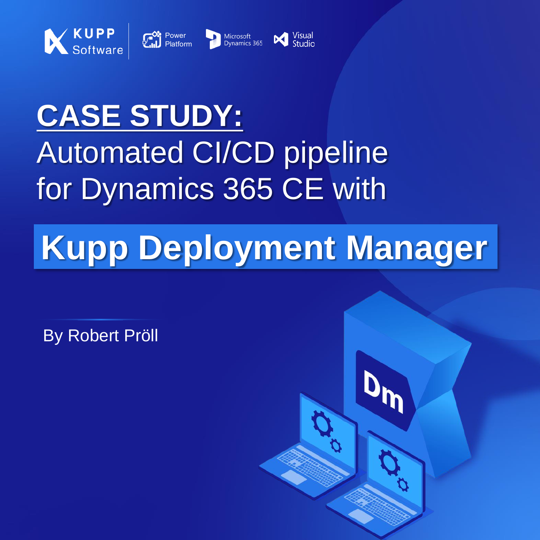

### **CASE STUDY:** Automated CI/CD pipeline for Dynamics 365 CE with

# **Kupp Deployment Manager**

By Robert Pröll

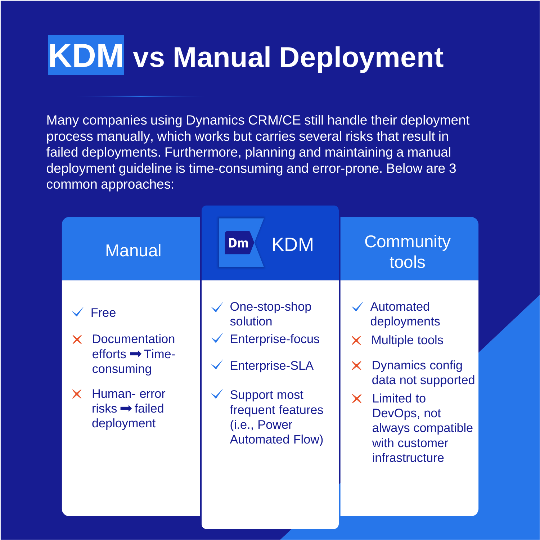## **KDM vs Manual Deployment**

Many companies using Dynamics CRM/CE still handle their deployment process manually, which works but carries several risks that result in failed deployments. Furthermore, planning and maintaining a manual deployment guideline is time-consuming and error-prone. Below are 3 common approaches:

| <b>Manual</b>                                                                                                                       | <b>KDM</b><br>Dm                                                                                                                                                    | Community<br>tools                                                                                                                                                                                                                |
|-------------------------------------------------------------------------------------------------------------------------------------|---------------------------------------------------------------------------------------------------------------------------------------------------------------------|-----------------------------------------------------------------------------------------------------------------------------------------------------------------------------------------------------------------------------------|
| Free<br><b>Documentation</b><br>efforts $\rightarrow$ Time-<br>consuming<br>Human-error<br>$risks \rightarrow failed$<br>deployment | One-stop-shop<br>solution<br><b>Enterprise-focus</b><br><b>Enterprise-SLA</b><br><b>Support most</b><br>frequent features<br>(i.e., Power<br><b>Automated Flow)</b> | Automated<br>deployments<br><b>Multiple tools</b><br>$\times$<br><b>Dynamics config</b><br>$\times$<br>data not supported<br><b>Limited to</b><br>$\times$<br>DevOps, not<br>always compatible<br>with customer<br>infrastructure |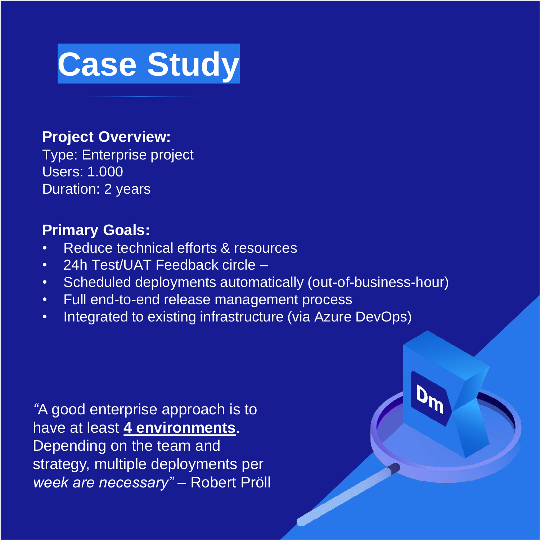

**Project Overview:**

Type: Enterprise project Users: 1.000 Duration: 2 years

#### **Primary Goals:**

- Reduce technical efforts & resources
- 24h Test/UAT Feedback circle –
- Scheduled deployments automatically (out-of-business-hour)
- Full end-to-end release management process
- Integrated to existing infrastructure (via Azure DevOps)

*"A good enterprise approach is to have at least 4 environments. Depending on the team and strategy, multiple deployments per week are necessary" – Robert Pröll*

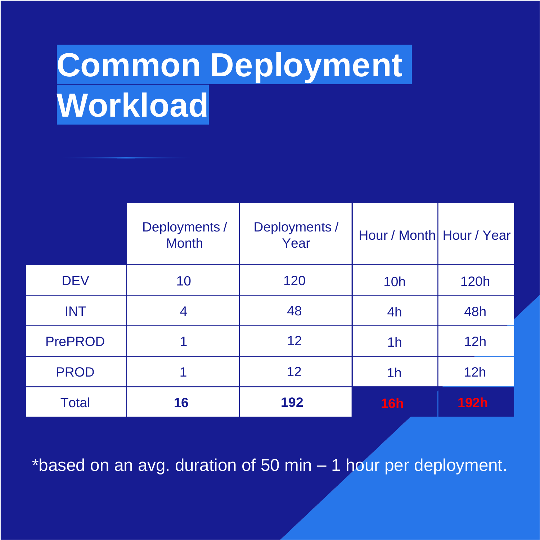# **Common Deployment Workload**

|                | Deployments /<br><b>Month</b> | Deployments /<br>Year | Hour / Month Hour / Year |             |
|----------------|-------------------------------|-----------------------|--------------------------|-------------|
| <b>DEV</b>     | 10                            | 120                   | <b>10h</b>               | <b>120h</b> |
| <b>INT</b>     | 4                             | 48                    | 4h                       | 48h         |
| <b>PrePROD</b> |                               | 12                    | 1 <sub>h</sub>           | 12h         |
| <b>PROD</b>    |                               | 12                    | 1 <sub>h</sub>           | 12h         |
| <b>Total</b>   | 16                            | 192                   | 16h                      | <b>192h</b> |

\*based on an avg. duration of 50 min – 1 hour per deployment.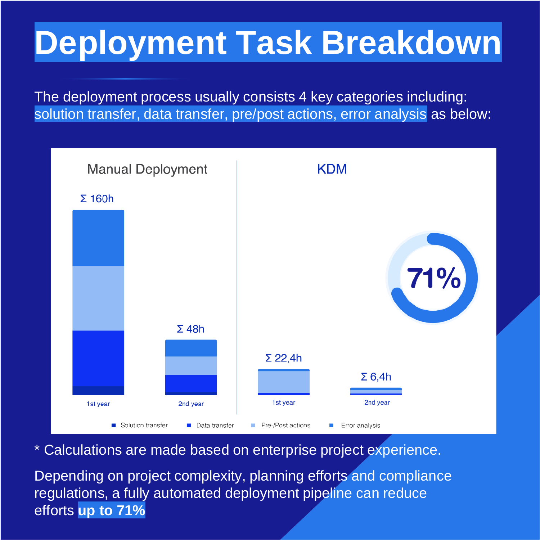# **Deployment Task Breakdown**

The deployment process usually consists 4 key categories including: solution transfer, data transfer, pre/post actions, error analysis as below:



*\* Calculations are made based on enterprise project experience.* 

Depending on project complexity, planning efforts and compliance regulations, a fully automated deployment pipeline can reduce efforts **up to 71%**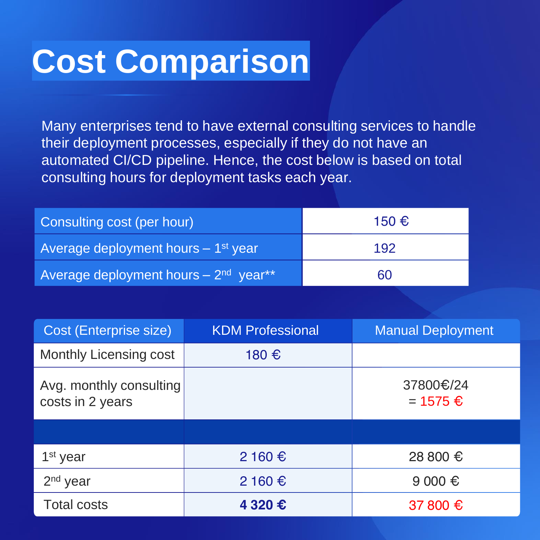### **Cost Comparison**

Many enterprises tend to have external consulting services to handle their deployment processes, especially if they do not have an automated CI/CD pipeline. Hence, the cost below is based on total consulting hours for deployment tasks each year.

| Consulting cost (per hour)                         | 150 € |  |
|----------------------------------------------------|-------|--|
| Average deployment hours $-1$ <sup>st</sup> year   | 192   |  |
| Average deployment hours $-2nd$ year <sup>**</sup> | 60    |  |

| Cost (Enterprise size)                      | <b>KDM Professional</b> | <b>Manual Deployment</b>  |
|---------------------------------------------|-------------------------|---------------------------|
| <b>Monthly Licensing cost</b>               | 180 €                   |                           |
| Avg. monthly consulting<br>costs in 2 years |                         | 37800€/24<br>$= 1575 \in$ |
|                                             |                         |                           |
| 1 <sup>st</sup> year                        | $2160 \text{ €}$        | 28 800 €                  |
| $2nd$ year                                  | $2160 \text{€}$         | 9000 €                    |
| <b>Total costs</b>                          | 4 320 €                 | 37 800 €                  |